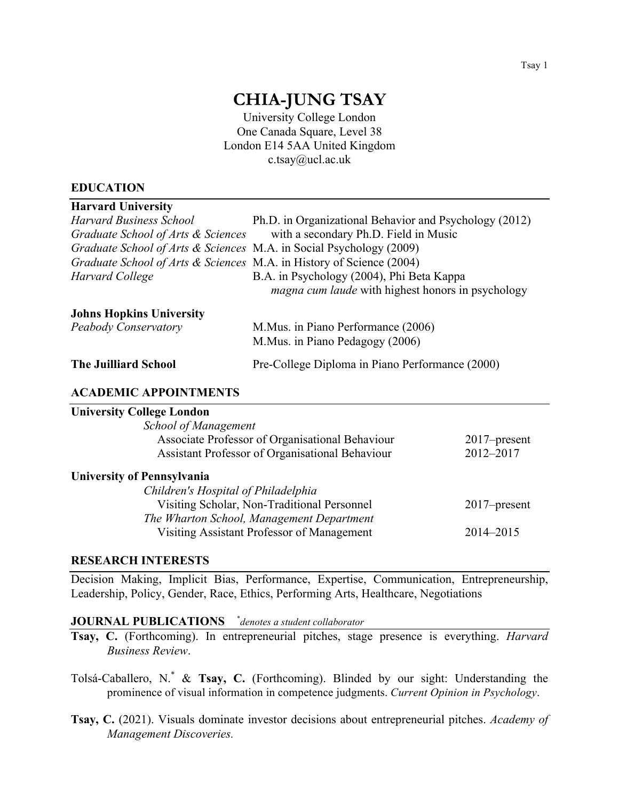# **CHIA-JUNG TSAY**

University College London One Canada Square, Level 38 London E14 5AA United Kingdom c.tsay@ucl.ac.uk

#### **EDUCATION**

| <b>Harvard University</b>                                            |                                                          |
|----------------------------------------------------------------------|----------------------------------------------------------|
| <b>Harvard Business School</b>                                       | Ph.D. in Organizational Behavior and Psychology (2012)   |
| Graduate School of Arts & Sciences                                   | with a secondary Ph.D. Field in Music                    |
| Graduate School of Arts & Sciences M.A. in Social Psychology (2009)  |                                                          |
| Graduate School of Arts & Sciences M.A. in History of Science (2004) |                                                          |
| Harvard College                                                      | B.A. in Psychology (2004), Phi Beta Kappa                |
|                                                                      | <i>magna cum laude</i> with highest honors in psychology |
| <b>Johns Hopkins University</b>                                      |                                                          |
| Peabody Conservatory                                                 | M. Mus. in Piano Performance (2006)                      |
|                                                                      | M.Mus. in Piano Pedagogy (2006)                          |
| <b>The Juilliard School</b>                                          | Pre-College Diploma in Piano Performance (2000)          |
| A CA DEMIC A DDOINTMENTS                                             |                                                          |

#### **ACADEMIC APPOINTMENTS**

# **University College London**

| $2017$ -present |
|-----------------|
| 2012-2017       |
|                 |
|                 |
| $2017$ -present |
|                 |
| 2014-2015       |
|                 |

#### **RESEARCH INTERESTS**

Decision Making, Implicit Bias, Performance, Expertise, Communication, Entrepreneurship, Leadership, Policy, Gender, Race, Ethics, Performing Arts, Healthcare, Negotiations

#### **JOURNAL PUBLICATIONS** \* *denotes a student collaborator*

**Tsay, C.** (Forthcoming). In entrepreneurial pitches, stage presence is everything. *Harvard Business Review*.

Tolsá-Caballero, N.\* & **Tsay, C.** (Forthcoming). Blinded by our sight: Understanding the prominence of visual information in competence judgments. *Current Opinion in Psychology*.

**Tsay, C.** (2021). Visuals dominate investor decisions about entrepreneurial pitches. *Academy of Management Discoveries.*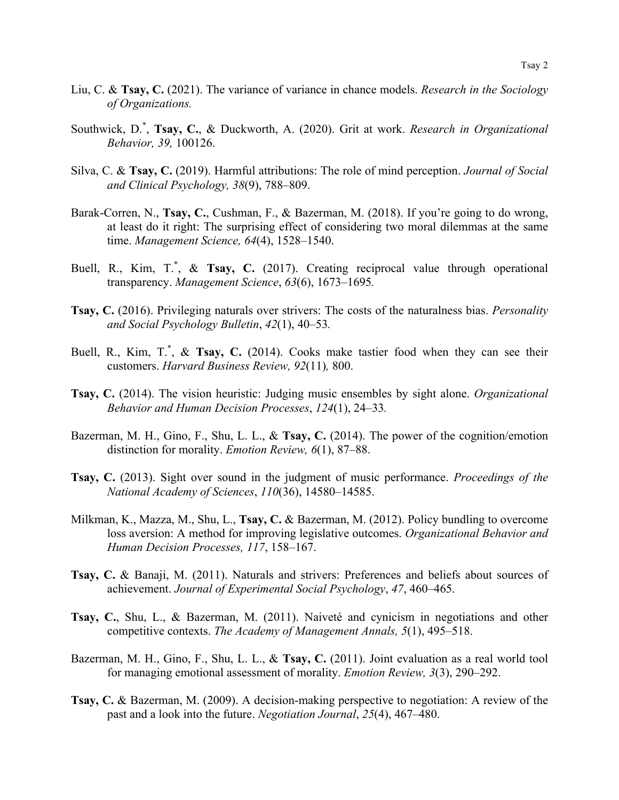- Liu, C. & **Tsay, C.** (2021). The variance of variance in chance models. *Research in the Sociology of Organizations.*
- Southwick, D.\* , **Tsay, C.**, & Duckworth, A. (2020). Grit at work. *Research in Organizational Behavior, 39,* 100126.
- Silva, C. & **Tsay, C.** (2019). Harmful attributions: The role of mind perception. *Journal of Social and Clinical Psychology, 38*(9), 788–809.
- Barak-Corren, N., **Tsay, C.**, Cushman, F., & Bazerman, M. (2018). If you're going to do wrong, at least do it right: The surprising effect of considering two moral dilemmas at the same time. *Management Science, 64*(4), 1528–1540.
- Buell, R., Kim, T.<sup>\*</sup>, & Tsay, C. (2017). Creating reciprocal value through operational transparency. *Management Science*, *63*(6), 1673–1695*.*
- **Tsay, C.** (2016). Privileging naturals over strivers: The costs of the naturalness bias. *Personality and Social Psychology Bulletin*, *42*(1), 40–53*.*
- Buell, R., Kim, T.<sup>\*</sup>, & Tsay, C. (2014). Cooks make tastier food when they can see their customers. *Harvard Business Review, 92*(11)*,* 800.
- **Tsay, C.** (2014). The vision heuristic: Judging music ensembles by sight alone. *Organizational Behavior and Human Decision Processes*, *124*(1), 24–33*.*
- Bazerman, M. H., Gino, F., Shu, L. L., & **Tsay, C.** (2014). The power of the cognition/emotion distinction for morality. *Emotion Review, 6*(1), 87–88.
- **Tsay, C.** (2013). Sight over sound in the judgment of music performance. *Proceedings of the National Academy of Sciences*, *110*(36), 14580–14585.
- Milkman, K., Mazza, M., Shu, L., **Tsay, C.** & Bazerman, M. (2012). Policy bundling to overcome loss aversion: A method for improving legislative outcomes. *Organizational Behavior and Human Decision Processes, 117*, 158–167.
- **Tsay, C.** & Banaji, M. (2011). Naturals and strivers: Preferences and beliefs about sources of achievement. *Journal of Experimental Social Psychology*, *47*, 460–465.
- **Tsay, C.**, Shu, L., & Bazerman, M. (2011). Naiveté and cynicism in negotiations and other competitive contexts. *The Academy of Management Annals, 5*(1), 495–518.
- Bazerman, M. H., Gino, F., Shu, L. L., & **Tsay, C.** (2011). Joint evaluation as a real world tool for managing emotional assessment of morality. *Emotion Review, 3*(3), 290–292.
- **Tsay, C.** & Bazerman, M. (2009). A decision-making perspective to negotiation: A review of the past and a look into the future. *Negotiation Journal*, *25*(4), 467–480.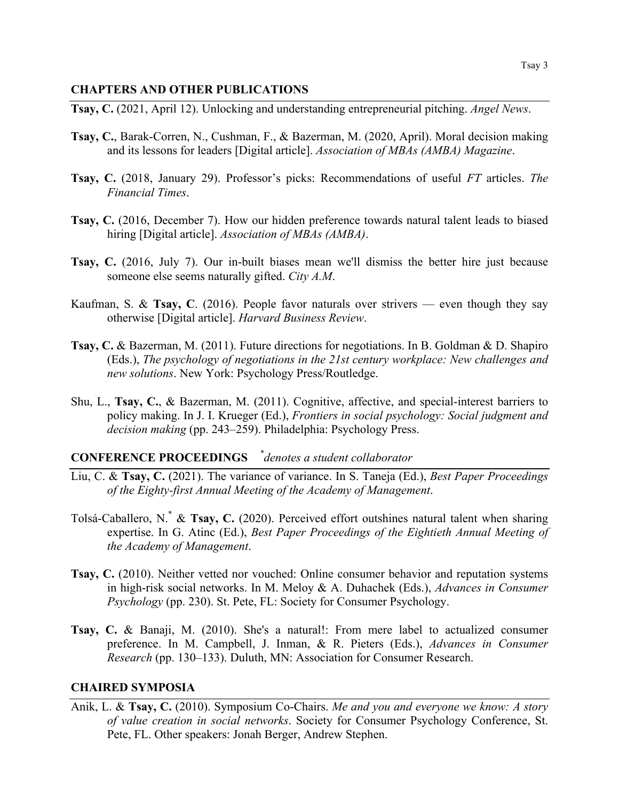#### **CHAPTERS AND OTHER PUBLICATIONS**

**Tsay, C.** (2021, April 12). Unlocking and understanding entrepreneurial pitching. *Angel News*.

- **Tsay, C.**, Barak-Corren, N., Cushman, F., & Bazerman, M. (2020, April). Moral decision making and its lessons for leaders [Digital article]. *Association of MBAs (AMBA) Magazine*.
- **Tsay, C.** (2018, January 29). Professor's picks: Recommendations of useful *FT* articles. *The Financial Times*.
- **Tsay, C.** (2016, December 7). How our hidden preference towards natural talent leads to biased hiring [Digital article]. *Association of MBAs (AMBA)*.
- **Tsay, C.** (2016, July 7). Our in-built biases mean we'll dismiss the better hire just because someone else seems naturally gifted. *City A.M*.
- Kaufman, S. & **Tsay, C**. (2016). People favor naturals over strivers even though they say otherwise [Digital article]. *Harvard Business Review*.
- **Tsay, C.** & Bazerman, M. (2011). Future directions for negotiations. In B. Goldman & D. Shapiro (Eds.), *The psychology of negotiations in the 21st century workplace: New challenges and new solutions*. New York: Psychology Press/Routledge.
- Shu, L., **Tsay, C.**, & Bazerman, M. (2011). Cognitive, affective, and special-interest barriers to policy making. In J. I. Krueger (Ed.), *Frontiers in social psychology: Social judgment and decision making* (pp. 243–259). Philadelphia: Psychology Press.

# **CONFERENCE PROCEEDINGS** *\* denotes a student collaborator*

- Liu, C. & **Tsay, C.** (2021). The variance of variance. In S. Taneja (Ed.), *Best Paper Proceedings of the Eighty-first Annual Meeting of the Academy of Management*.
- Tolsá-Caballero, N.\* & **Tsay, C.** (2020). Perceived effort outshines natural talent when sharing expertise. In G. Atinc (Ed.), *Best Paper Proceedings of the Eightieth Annual Meeting of the Academy of Management*.
- **Tsay, C.** (2010). Neither vetted nor vouched: Online consumer behavior and reputation systems in high-risk social networks. In M. Meloy & A. Duhachek (Eds.), *Advances in Consumer Psychology* (pp. 230). St. Pete, FL: Society for Consumer Psychology.
- **Tsay, C.** & Banaji, M. (2010). She's a natural!: From mere label to actualized consumer preference. In M. Campbell, J. Inman, & R. Pieters (Eds.), *Advances in Consumer Research* (pp. 130–133). Duluth, MN: Association for Consumer Research.

#### **CHAIRED SYMPOSIA**

Anik, L. & **Tsay, C.** (2010). Symposium Co-Chairs. *Me and you and everyone we know: A story of value creation in social networks*. Society for Consumer Psychology Conference, St. Pete, FL. Other speakers: Jonah Berger, Andrew Stephen.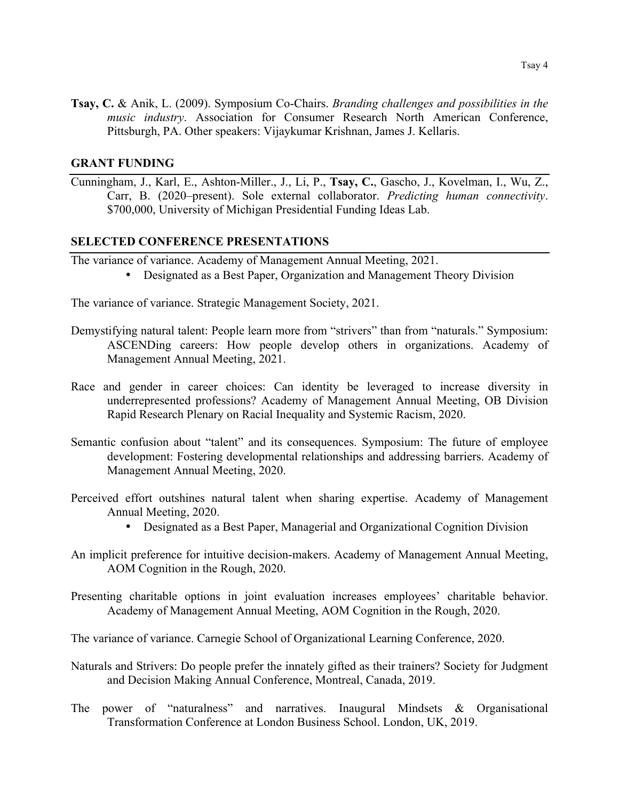**Tsay, C.** & Anik, L. (2009). Symposium Co-Chairs. *Branding challenges and possibilities in the music industry*. Association for Consumer Research North American Conference, Pittsburgh, PA. Other speakers: Vijaykumar Krishnan, James J. Kellaris.

#### **GRANT FUNDING**

Cunningham, J., Karl, E., Ashton-Miller., J., Li, P., **Tsay, C.**, Gascho, J., Kovelman, I., Wu, Z., Carr, B. (2020–present). Sole external collaborator. *Predicting human connectivity*. \$700,000, University of Michigan Presidential Funding Ideas Lab.

#### **SELECTED CONFERENCE PRESENTATIONS**

The variance of variance. Academy of Management Annual Meeting, 2021.

• Designated as a Best Paper, Organization and Management Theory Division

The variance of variance. Strategic Management Society, 2021.

- Demystifying natural talent: People learn more from "strivers" than from "naturals." Symposium: ASCENDing careers: How people develop others in organizations. Academy of Management Annual Meeting, 2021.
- Race and gender in career choices: Can identity be leveraged to increase diversity in underrepresented professions? Academy of Management Annual Meeting, OB Division Rapid Research Plenary on Racial Inequality and Systemic Racism, 2020.
- Semantic confusion about "talent" and its consequences. Symposium: The future of employee development: Fostering developmental relationships and addressing barriers. Academy of Management Annual Meeting, 2020.
- Perceived effort outshines natural talent when sharing expertise. Academy of Management Annual Meeting, 2020.
	- Designated as a Best Paper, Managerial and Organizational Cognition Division
- An implicit preference for intuitive decision-makers. Academy of Management Annual Meeting, AOM Cognition in the Rough, 2020.
- Presenting charitable options in joint evaluation increases employees' charitable behavior. Academy of Management Annual Meeting, AOM Cognition in the Rough, 2020.

The variance of variance. Carnegie School of Organizational Learning Conference, 2020.

- Naturals and Strivers: Do people prefer the innately gifted as their trainers? Society for Judgment and Decision Making Annual Conference, Montreal, Canada, 2019.
- The power of "naturalness" and narratives. Inaugural Mindsets & Organisational Transformation Conference at London Business School. London, UK, 2019.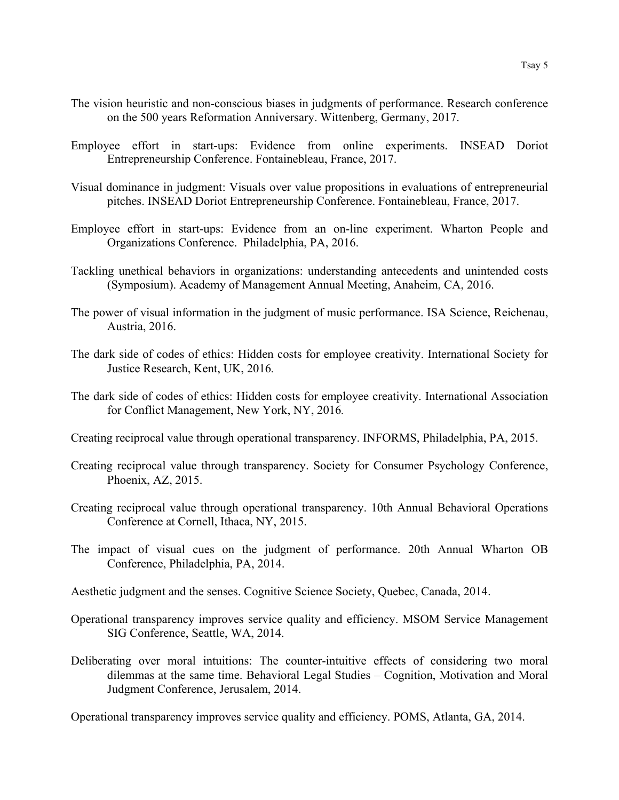- The vision heuristic and non-conscious biases in judgments of performance. Research conference on the 500 years Reformation Anniversary. Wittenberg, Germany, 2017.
- Employee effort in start-ups: Evidence from online experiments. INSEAD Doriot Entrepreneurship Conference. Fontainebleau, France, 2017.
- Visual dominance in judgment: Visuals over value propositions in evaluations of entrepreneurial pitches. INSEAD Doriot Entrepreneurship Conference. Fontainebleau, France, 2017.
- Employee effort in start-ups: Evidence from an on-line experiment. Wharton People and Organizations Conference. Philadelphia, PA, 2016.
- Tackling unethical behaviors in organizations: understanding antecedents and unintended costs (Symposium). Academy of Management Annual Meeting, Anaheim, CA, 2016.
- The power of visual information in the judgment of music performance. ISA Science, Reichenau, Austria, 2016.
- The dark side of codes of ethics: Hidden costs for employee creativity. International Society for Justice Research, Kent, UK, 2016*.*
- The dark side of codes of ethics: Hidden costs for employee creativity. International Association for Conflict Management, New York, NY, 2016*.*
- Creating reciprocal value through operational transparency. INFORMS, Philadelphia, PA, 2015.
- Creating reciprocal value through transparency. Society for Consumer Psychology Conference, Phoenix, AZ, 2015.
- Creating reciprocal value through operational transparency. 10th Annual Behavioral Operations Conference at Cornell, Ithaca, NY, 2015.
- The impact of visual cues on the judgment of performance. 20th Annual Wharton OB Conference, Philadelphia, PA, 2014.
- Aesthetic judgment and the senses. Cognitive Science Society, Quebec, Canada, 2014.
- Operational transparency improves service quality and efficiency. MSOM Service Management SIG Conference, Seattle, WA, 2014.
- Deliberating over moral intuitions: The counter-intuitive effects of considering two moral dilemmas at the same time. Behavioral Legal Studies – Cognition, Motivation and Moral Judgment Conference, Jerusalem, 2014.

Operational transparency improves service quality and efficiency. POMS, Atlanta, GA, 2014.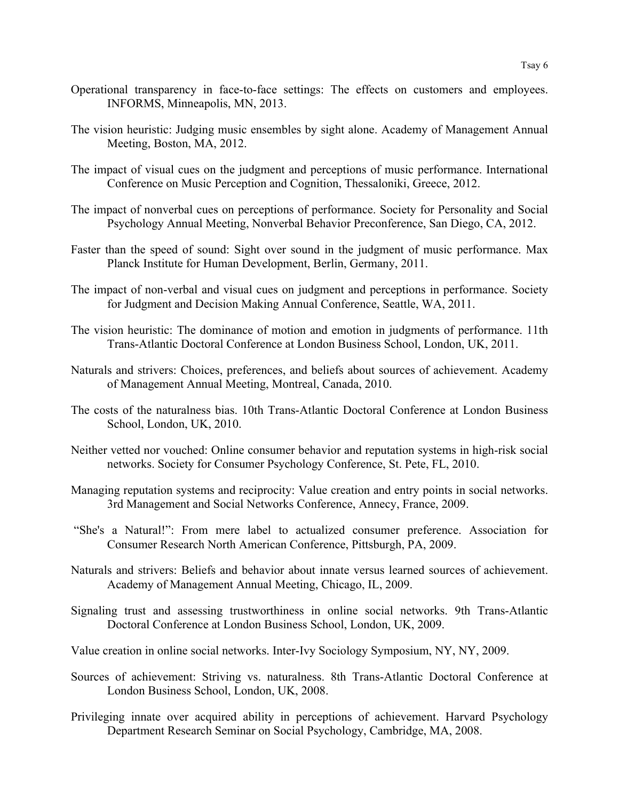- Operational transparency in face-to-face settings: The effects on customers and employees. INFORMS, Minneapolis, MN, 2013.
- The vision heuristic: Judging music ensembles by sight alone. Academy of Management Annual Meeting, Boston, MA, 2012.
- The impact of visual cues on the judgment and perceptions of music performance. International Conference on Music Perception and Cognition, Thessaloniki, Greece, 2012.
- The impact of nonverbal cues on perceptions of performance. Society for Personality and Social Psychology Annual Meeting, Nonverbal Behavior Preconference, San Diego, CA, 2012.
- Faster than the speed of sound: Sight over sound in the judgment of music performance. Max Planck Institute for Human Development, Berlin, Germany, 2011.
- The impact of non-verbal and visual cues on judgment and perceptions in performance. Society for Judgment and Decision Making Annual Conference, Seattle, WA, 2011.
- The vision heuristic: The dominance of motion and emotion in judgments of performance. 11th Trans-Atlantic Doctoral Conference at London Business School, London, UK, 2011.
- Naturals and strivers: Choices, preferences, and beliefs about sources of achievement. Academy of Management Annual Meeting, Montreal, Canada, 2010.
- The costs of the naturalness bias. 10th Trans-Atlantic Doctoral Conference at London Business School, London, UK, 2010.
- Neither vetted nor vouched: Online consumer behavior and reputation systems in high-risk social networks. Society for Consumer Psychology Conference, St. Pete, FL, 2010.
- Managing reputation systems and reciprocity: Value creation and entry points in social networks. 3rd Management and Social Networks Conference, Annecy, France, 2009.
- "She's a Natural!": From mere label to actualized consumer preference. Association for Consumer Research North American Conference, Pittsburgh, PA, 2009.
- Naturals and strivers: Beliefs and behavior about innate versus learned sources of achievement. Academy of Management Annual Meeting, Chicago, IL, 2009.
- Signaling trust and assessing trustworthiness in online social networks. 9th Trans-Atlantic Doctoral Conference at London Business School, London, UK, 2009.
- Value creation in online social networks. Inter-Ivy Sociology Symposium, NY, NY, 2009.
- Sources of achievement: Striving vs. naturalness. 8th Trans-Atlantic Doctoral Conference at London Business School, London, UK, 2008.
- Privileging innate over acquired ability in perceptions of achievement. Harvard Psychology Department Research Seminar on Social Psychology, Cambridge, MA, 2008.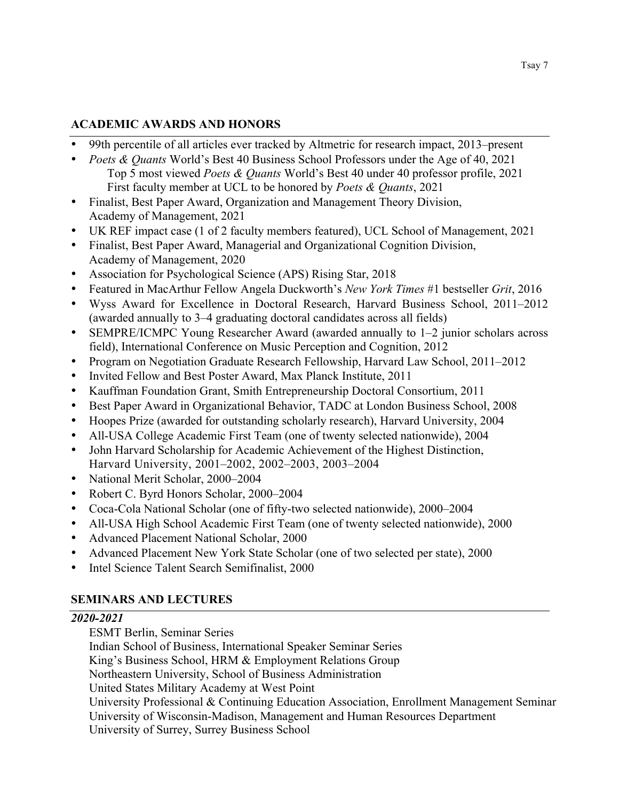# **ACADEMIC AWARDS AND HONORS**

- 99th percentile of all articles ever tracked by Altmetric for research impact, 2013–present
- *Poets & Quants* World's Best 40 Business School Professors under the Age of 40, 2021 Top 5 most viewed *Poets & Quants* World's Best 40 under 40 professor profile, 2021 First faculty member at UCL to be honored by *Poets & Quants*, 2021
- Finalist, Best Paper Award, Organization and Management Theory Division, Academy of Management, 2021
- UK REF impact case (1 of 2 faculty members featured), UCL School of Management, 2021
- Finalist, Best Paper Award, Managerial and Organizational Cognition Division, Academy of Management, 2020
- Association for Psychological Science (APS) Rising Star, 2018
- Featured in MacArthur Fellow Angela Duckworth's *New York Times* #1 bestseller *Grit*, 2016
- Wyss Award for Excellence in Doctoral Research, Harvard Business School, 2011–2012 (awarded annually to 3–4 graduating doctoral candidates across all fields)
- SEMPRE/ICMPC Young Researcher Award (awarded annually to 1–2 junior scholars across field), International Conference on Music Perception and Cognition, 2012
- Program on Negotiation Graduate Research Fellowship, Harvard Law School, 2011–2012
- Invited Fellow and Best Poster Award, Max Planck Institute, 2011
- Kauffman Foundation Grant, Smith Entrepreneurship Doctoral Consortium, 2011
- Best Paper Award in Organizational Behavior, TADC at London Business School, 2008
- Hoopes Prize (awarded for outstanding scholarly research), Harvard University, 2004
- All-USA College Academic First Team (one of twenty selected nationwide), 2004
- John Harvard Scholarship for Academic Achievement of the Highest Distinction, Harvard University, 2001–2002, 2002–2003, 2003–2004
- National Merit Scholar, 2000–2004
- Robert C. Byrd Honors Scholar, 2000–2004
- Coca-Cola National Scholar (one of fifty-two selected nationwide), 2000–2004
- All-USA High School Academic First Team (one of twenty selected nationwide), 2000
- Advanced Placement National Scholar, 2000
- Advanced Placement New York State Scholar (one of two selected per state), 2000
- Intel Science Talent Search Semifinalist, 2000

# **SEMINARS AND LECTURES**

# *2020-2021*

ESMT Berlin, Seminar Series

Indian School of Business, International Speaker Seminar Series King's Business School, HRM & Employment Relations Group Northeastern University, School of Business Administration United States Military Academy at West Point University Professional & Continuing Education Association, Enrollment Management Seminar University of Wisconsin-Madison, Management and Human Resources Department University of Surrey, Surrey Business School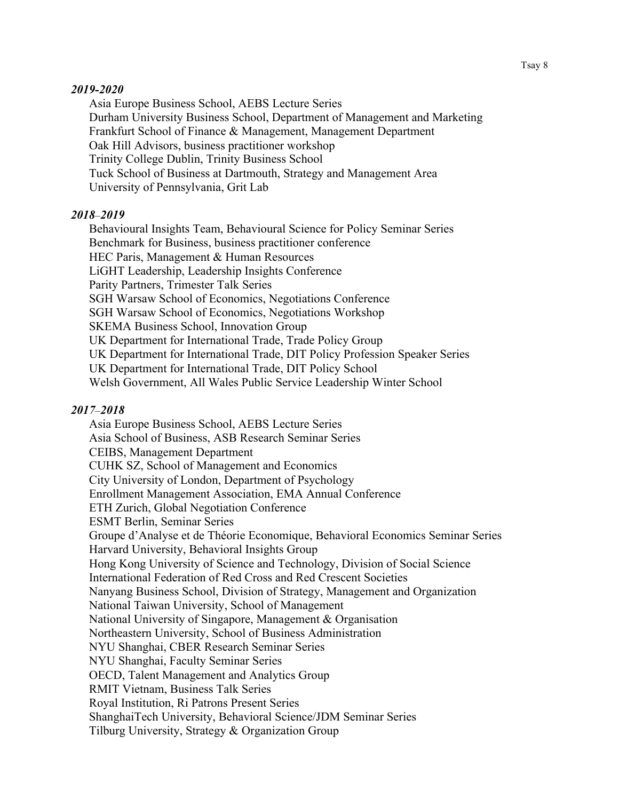#### *2019-2020*

Asia Europe Business School, AEBS Lecture Series Durham University Business School, Department of Management and Marketing Frankfurt School of Finance & Management, Management Department Oak Hill Advisors, business practitioner workshop Trinity College Dublin, Trinity Business School Tuck School of Business at Dartmouth, Strategy and Management Area University of Pennsylvania, Grit Lab

#### *2018*–*2019*

Behavioural Insights Team, Behavioural Science for Policy Seminar Series Benchmark for Business, business practitioner conference HEC Paris, Management & Human Resources LiGHT Leadership, Leadership Insights Conference Parity Partners, Trimester Talk Series SGH Warsaw School of Economics, Negotiations Conference SGH Warsaw School of Economics, Negotiations Workshop SKEMA Business School, Innovation Group UK Department for International Trade, Trade Policy Group UK Department for International Trade, DIT Policy Profession Speaker Series UK Department for International Trade, DIT Policy School Welsh Government, All Wales Public Service Leadership Winter School

#### *2017*–*2018*

Asia Europe Business School, AEBS Lecture Series Asia School of Business, ASB Research Seminar Series CEIBS, Management Department CUHK SZ, School of Management and Economics City University of London, Department of Psychology Enrollment Management Association, EMA Annual Conference ETH Zurich, Global Negotiation Conference ESMT Berlin, Seminar Series Groupe d'Analyse et de Théorie Economique, Behavioral Economics Seminar Series Harvard University, Behavioral Insights Group Hong Kong University of Science and Technology, Division of Social Science International Federation of Red Cross and Red Crescent Societies Nanyang Business School, Division of Strategy, Management and Organization National Taiwan University, School of Management National University of Singapore, Management & Organisation Northeastern University, School of Business Administration NYU Shanghai, CBER Research Seminar Series NYU Shanghai, Faculty Seminar Series OECD, Talent Management and Analytics Group RMIT Vietnam, Business Talk Series Royal Institution, Ri Patrons Present Series ShanghaiTech University, Behavioral Science/JDM Seminar Series Tilburg University, Strategy & Organization Group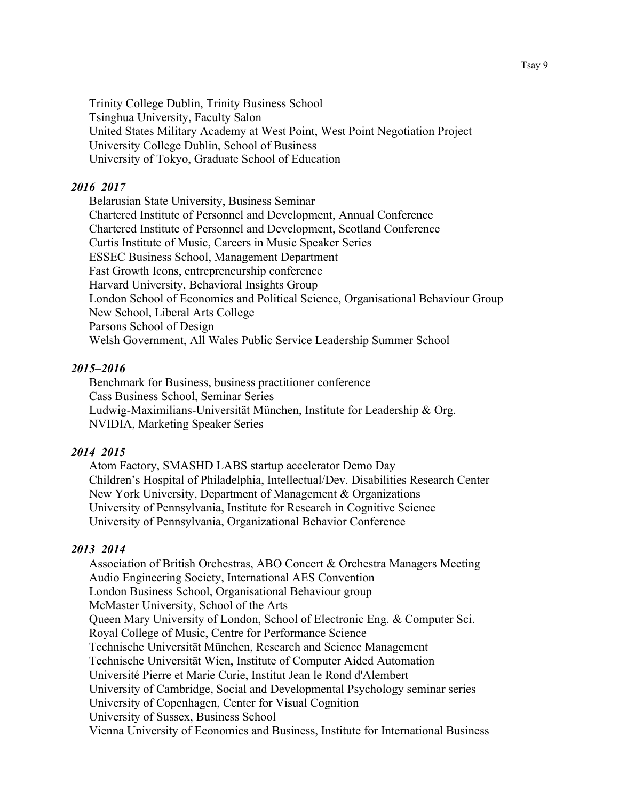Trinity College Dublin, Trinity Business School Tsinghua University, Faculty Salon United States Military Academy at West Point, West Point Negotiation Project University College Dublin, School of Business University of Tokyo, Graduate School of Education

#### *2016*–*2017*

Belarusian State University, Business Seminar Chartered Institute of Personnel and Development, Annual Conference Chartered Institute of Personnel and Development, Scotland Conference Curtis Institute of Music, Careers in Music Speaker Series ESSEC Business School, Management Department Fast Growth Icons, entrepreneurship conference Harvard University, Behavioral Insights Group London School of Economics and Political Science, Organisational Behaviour Group New School, Liberal Arts College Parsons School of Design Welsh Government, All Wales Public Service Leadership Summer School

#### *2015*–*2016*

Benchmark for Business, business practitioner conference Cass Business School, Seminar Series Ludwig-Maximilians-Universität München, Institute for Leadership & Org. NVIDIA, Marketing Speaker Series

#### *2014*–*2015*

Atom Factory, SMASHD LABS startup accelerator Demo Day Children's Hospital of Philadelphia, Intellectual/Dev. Disabilities Research Center New York University, Department of Management & Organizations University of Pennsylvania, Institute for Research in Cognitive Science University of Pennsylvania, Organizational Behavior Conference

### *2013*–*2014*

Association of British Orchestras, ABO Concert & Orchestra Managers Meeting Audio Engineering Society, International AES Convention London Business School, Organisational Behaviour group McMaster University, School of the Arts Queen Mary University of London, School of Electronic Eng. & Computer Sci. Royal College of Music, Centre for Performance Science Technische Universität München, Research and Science Management Technische Universität Wien, Institute of Computer Aided Automation Université Pierre et Marie Curie, Institut Jean le Rond d'Alembert University of Cambridge, Social and Developmental Psychology seminar series University of Copenhagen, Center for Visual Cognition University of Sussex, Business School Vienna University of Economics and Business, Institute for International Business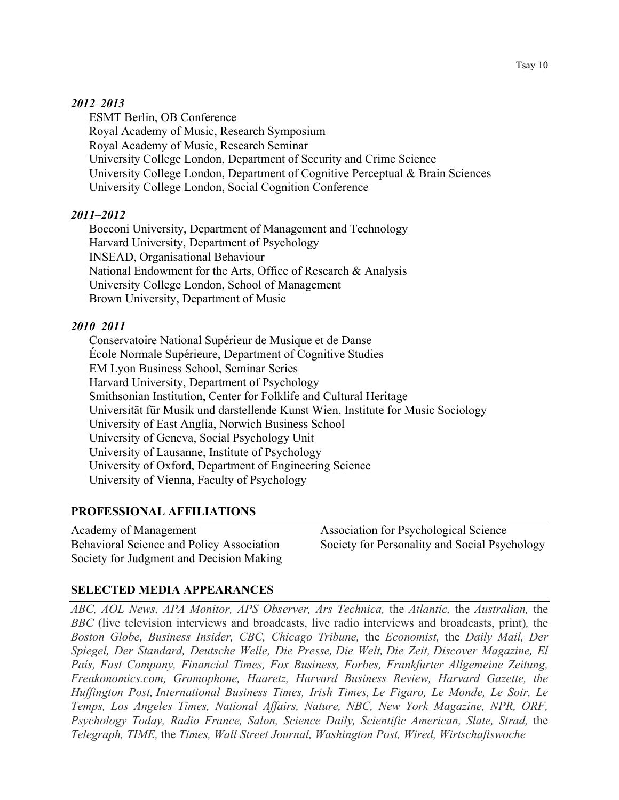#### *2012*–*2013*

ESMT Berlin, OB Conference Royal Academy of Music, Research Symposium Royal Academy of Music, Research Seminar University College London, Department of Security and Crime Science University College London, Department of Cognitive Perceptual & Brain Sciences University College London, Social Cognition Conference

# *2011*–*2012*

Bocconi University, Department of Management and Technology Harvard University, Department of Psychology INSEAD, Organisational Behaviour National Endowment for the Arts, Office of Research & Analysis University College London, School of Management Brown University, Department of Music

# *2010*–*2011*

Conservatoire National Supérieur de Musique et de Danse École Normale Supérieure, Department of Cognitive Studies EM Lyon Business School, Seminar Series Harvard University, Department of Psychology Smithsonian Institution, Center for Folklife and Cultural Heritage Universität für Musik und darstellende Kunst Wien, Institute for Music Sociology University of East Anglia, Norwich Business School University of Geneva, Social Psychology Unit University of Lausanne, Institute of Psychology University of Oxford, Department of Engineering Science University of Vienna, Faculty of Psychology

# **PROFESSIONAL AFFILIATIONS**

Academy of Management Association for Psychological Science Behavioral Science and Policy Association Society for Judgment and Decision Making

Society for Personality and Social Psychology

# **SELECTED MEDIA APPEARANCES**

*ABC, AOL News, APA Monitor, APS Observer, Ars Technica,* the *Atlantic,* the *Australian,* the *BBC* (live television interviews and broadcasts, live radio interviews and broadcasts, print)*,* the *Boston Globe, Business Insider, CBC, Chicago Tribune,* the *Economist,* the *Daily Mail, Der Spiegel, Der Standard, Deutsche Welle, Die Presse, Die Welt, Die Zeit, Discover Magazine, El País, Fast Company, Financial Times, Fox Business, Forbes, Frankfurter Allgemeine Zeitung, Freakonomics.com, Gramophone, Haaretz, Harvard Business Review, Harvard Gazette, the Huffington Post, International Business Times, Irish Times, Le Figaro, Le Monde, Le Soir, Le Temps, Los Angeles Times, National Affairs, Nature, NBC, New York Magazine, NPR, ORF, Psychology Today, Radio France, Salon, Science Daily, Scientific American, Slate, Strad,* the *Telegraph, TIME,* the *Times, Wall Street Journal, Washington Post, Wired, Wirtschaftswoche*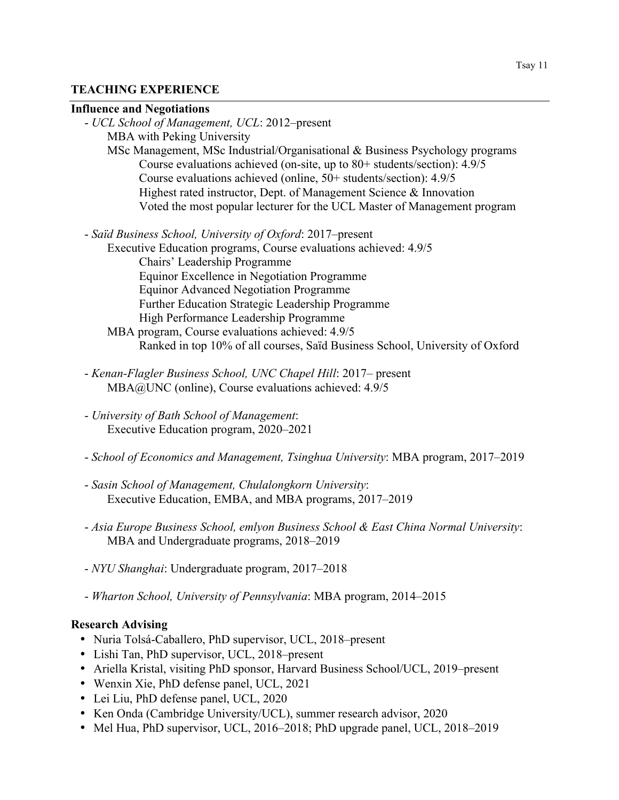# **TEACHING EXPERIENCE**

#### **Influence and Negotiations**

| - UCL School of Management, UCL: 2012-present                                   |
|---------------------------------------------------------------------------------|
| <b>MBA</b> with Peking University                                               |
| MSc Management, MSc Industrial/Organisational $\&$ Business Psychology programs |
| Course evaluations achieved (on-site, up to $80+$ students/section): $4.9/5$    |
| Course evaluations achieved (online, 50+ students/section): 4.9/5               |
| Highest rated instructor, Dept. of Management Science & Innovation              |
| Voted the most popular lecturer for the UCL Master of Management program        |
|                                                                                 |
| - Saïd Business School, University of Oxford: 2017–present                      |
| Executive Education programs, Course evaluations achieved: 4.9/5                |
| Chairs' Leadership Programme                                                    |
| Equinor Excellence in Negotiation Programme                                     |
| <b>Equinor Advanced Negotiation Programme</b>                                   |
| Further Education Strategic Leadership Programme                                |
| High Performance Leadership Programme                                           |
| MBA program, Course evaluations achieved: 4.9/5                                 |
| Ranked in top 10% of all courses, Saïd Business School, University of Oxford    |

- *Kenan-Flagler Business School, UNC Chapel Hill*: 2017– present MBA@UNC (online), Course evaluations achieved: 4.9/5
- *University of Bath School of Management*: Executive Education program, 2020–2021
- *School of Economics and Management, Tsinghua University*: MBA program, 2017–2019
- *Sasin School of Management, Chulalongkorn University*: Executive Education, EMBA, and MBA programs, 2017–2019
- *Asia Europe Business School, emlyon Business School & East China Normal University*: MBA and Undergraduate programs, 2018–2019
- *NYU Shanghai*: Undergraduate program, 2017–2018
- *Wharton School, University of Pennsylvania*: MBA program, 2014–2015

# **Research Advising**

- Nuria Tolsá-Caballero, PhD supervisor, UCL, 2018–present
- Lishi Tan, PhD supervisor, UCL, 2018–present
- Ariella Kristal, visiting PhD sponsor, Harvard Business School/UCL, 2019–present
- Wenxin Xie, PhD defense panel, UCL, 2021
- Lei Liu, PhD defense panel, UCL, 2020
- Ken Onda (Cambridge University/UCL), summer research advisor, 2020
- Mel Hua, PhD supervisor, UCL, 2016–2018; PhD upgrade panel, UCL, 2018–2019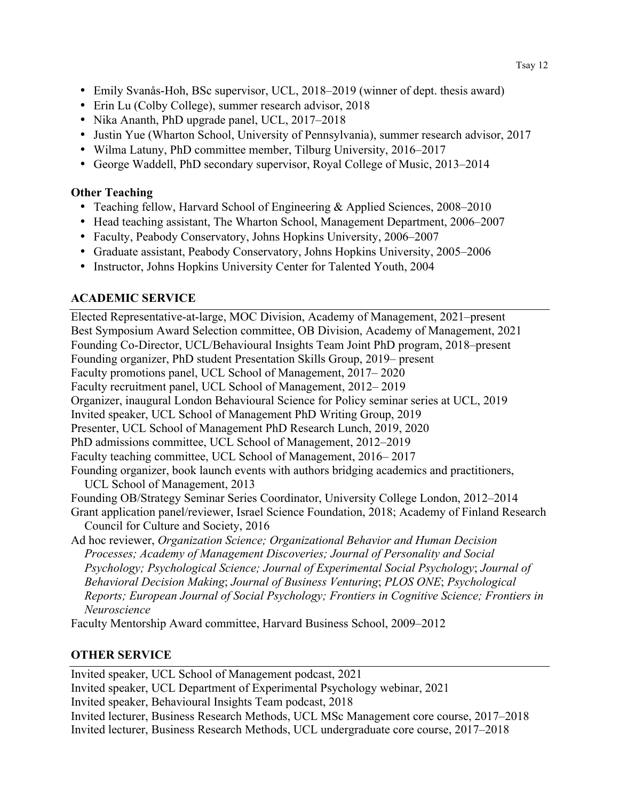- Emily Svanås-Hoh, BSc supervisor, UCL, 2018–2019 (winner of dept. thesis award)
- Erin Lu (Colby College), summer research advisor, 2018
- Nika Ananth, PhD upgrade panel, UCL, 2017–2018
- Justin Yue (Wharton School, University of Pennsylvania), summer research advisor, 2017
- Wilma Latuny, PhD committee member, Tilburg University, 2016–2017
- George Waddell, PhD secondary supervisor, Royal College of Music, 2013–2014

# **Other Teaching**

- Teaching fellow, Harvard School of Engineering & Applied Sciences, 2008–2010
- Head teaching assistant, The Wharton School, Management Department, 2006–2007
- Faculty, Peabody Conservatory, Johns Hopkins University, 2006–2007
- Graduate assistant, Peabody Conservatory, Johns Hopkins University, 2005–2006
- Instructor, Johns Hopkins University Center for Talented Youth, 2004

# **ACADEMIC SERVICE**

Elected Representative-at-large, MOC Division, Academy of Management, 2021–present Best Symposium Award Selection committee, OB Division, Academy of Management, 2021 Founding Co-Director, UCL/Behavioural Insights Team Joint PhD program, 2018–present Founding organizer, PhD student Presentation Skills Group, 2019– present Faculty promotions panel, UCL School of Management, 2017– 2020 Faculty recruitment panel, UCL School of Management, 2012– 2019 Organizer, inaugural London Behavioural Science for Policy seminar series at UCL, 2019 Invited speaker, UCL School of Management PhD Writing Group, 2019 Presenter, UCL School of Management PhD Research Lunch, 2019, 2020 PhD admissions committee, UCL School of Management, 2012–2019 Faculty teaching committee, UCL School of Management, 2016– 2017 Founding organizer, book launch events with authors bridging academics and practitioners, UCL School of Management, 2013 Founding OB/Strategy Seminar Series Coordinator, University College London, 2012–2014 Grant application panel/reviewer, Israel Science Foundation, 2018; Academy of Finland Research Council for Culture and Society, 2016 Ad hoc reviewer, *Organization Science; Organizational Behavior and Human Decision Processes; Academy of Management Discoveries; Journal of Personality and Social Psychology; Psychological Science; Journal of Experimental Social Psychology*; *Journal of Behavioral Decision Making*; *Journal of Business Venturing*; *PLOS ONE*; *Psychological Reports; European Journal of Social Psychology; Frontiers in Cognitive Science; Frontiers in Neuroscience*

Faculty Mentorship Award committee, Harvard Business School, 2009–2012

# **OTHER SERVICE**

Invited speaker, UCL School of Management podcast, 2021

Invited speaker, UCL Department of Experimental Psychology webinar, 2021 Invited speaker, Behavioural Insights Team podcast, 2018 Invited lecturer, Business Research Methods, UCL MSc Management core course, 2017–2018 Invited lecturer, Business Research Methods, UCL undergraduate core course, 2017–2018